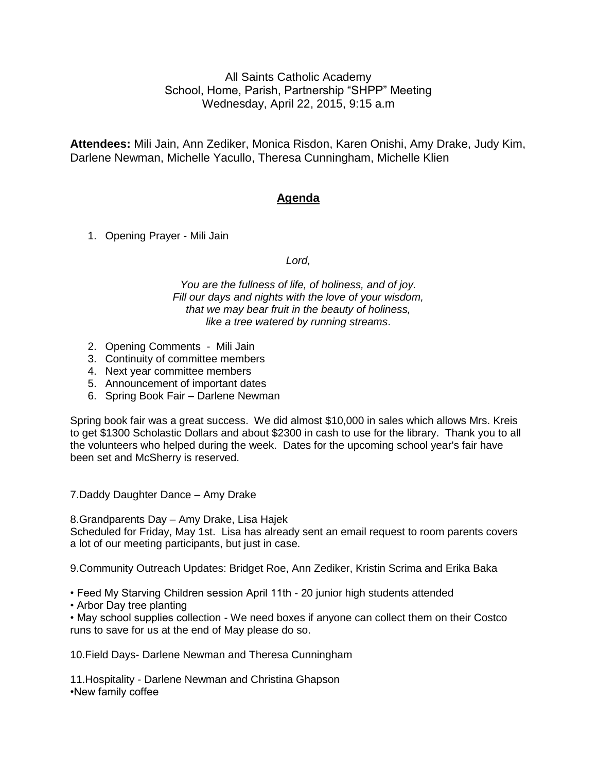All Saints Catholic Academy School, Home, Parish, Partnership "SHPP" Meeting Wednesday, April 22, 2015, 9:15 a.m

**Attendees:** Mili Jain, Ann Zediker, Monica Risdon, Karen Onishi, Amy Drake, Judy Kim, Darlene Newman, Michelle Yacullo, Theresa Cunningham, Michelle Klien

# **Agenda**

1. Opening Prayer - Mili Jain

## *Lord,*

*You are the fullness of life, of holiness, and of joy. Fill our days and nights with the love of your wisdom, that we may bear fruit in the beauty of holiness, like a tree watered by running streams*.

- 2. Opening Comments Mili Jain
- 3. Continuity of committee members
- 4. Next year committee members
- 5. Announcement of important dates
- 6. Spring Book Fair Darlene Newman

Spring book fair was a great success. We did almost \$10,000 in sales which allows Mrs. Kreis to get \$1300 Scholastic Dollars and about \$2300 in cash to use for the library. Thank you to all the volunteers who helped during the week. Dates for the upcoming school year's fair have been set and McSherry is reserved.

7.Daddy Daughter Dance – Amy Drake

8.Grandparents Day – Amy Drake, Lisa Hajek

Scheduled for Friday, May 1st. Lisa has already sent an email request to room parents covers a lot of our meeting participants, but just in case.

9.Community Outreach Updates: Bridget Roe, Ann Zediker, Kristin Scrima and Erika Baka

• Feed My Starving Children session April 11th - 20 junior high students attended

• Arbor Day tree planting

• May school supplies collection - We need boxes if anyone can collect them on their Costco runs to save for us at the end of May please do so.

10.Field Days- Darlene Newman and Theresa Cunningham

11.Hospitality - Darlene Newman and Christina Ghapson •New family coffee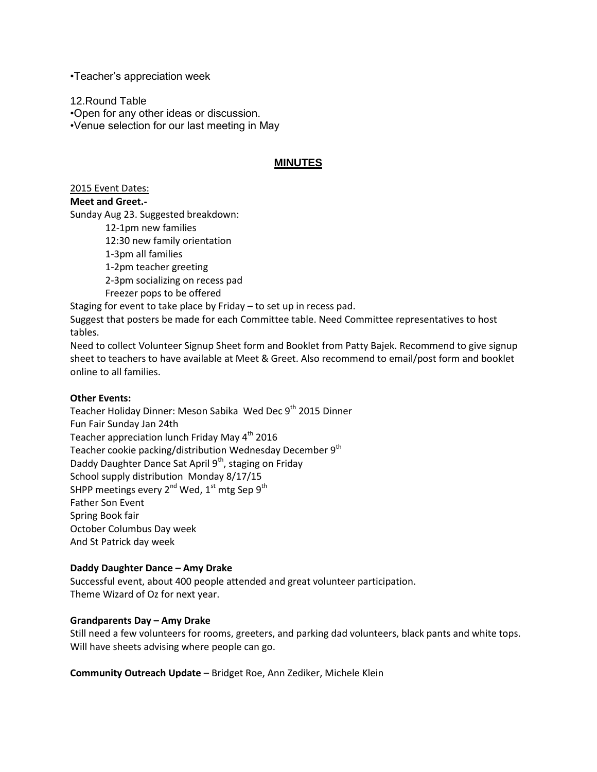•Teacher's appreciation week

12.Round Table •Open for any other ideas or discussion. •Venue selection for our last meeting in May

# **MINUTES**

2015 Event Dates:

#### **Meet and Greet.-**

Sunday Aug 23. Suggested breakdown:

12-1pm new families 12:30 new family orientation 1-3pm all families 1-2pm teacher greeting 2-3pm socializing on recess pad Freezer pops to be offered

Staging for event to take place by Friday – to set up in recess pad.

Suggest that posters be made for each Committee table. Need Committee representatives to host tables.

Need to collect Volunteer Signup Sheet form and Booklet from Patty Bajek. Recommend to give signup sheet to teachers to have available at Meet & Greet. Also recommend to email/post form and booklet online to all families.

#### **Other Events:**

Teacher Holiday Dinner: Meson Sabika Wed Dec 9<sup>th</sup> 2015 Dinner Fun Fair Sunday Jan 24th Teacher appreciation lunch Friday May 4<sup>th</sup> 2016 Teacher cookie packing/distribution Wednesday December 9<sup>th</sup> Daddy Daughter Dance Sat April 9<sup>th</sup>, staging on Friday School supply distribution Monday 8/17/15 SHPP meetings every  $2^{nd}$  Wed,  $1^{st}$  mtg Sep  $9^{th}$ Father Son Event Spring Book fair October Columbus Day week And St Patrick day week

### **Daddy Daughter Dance – Amy Drake**

Successful event, about 400 people attended and great volunteer participation. Theme Wizard of Oz for next year.

#### **Grandparents Day – Amy Drake**

Still need a few volunteers for rooms, greeters, and parking dad volunteers, black pants and white tops. Will have sheets advising where people can go.

**Community Outreach Update** – Bridget Roe, Ann Zediker, Michele Klein